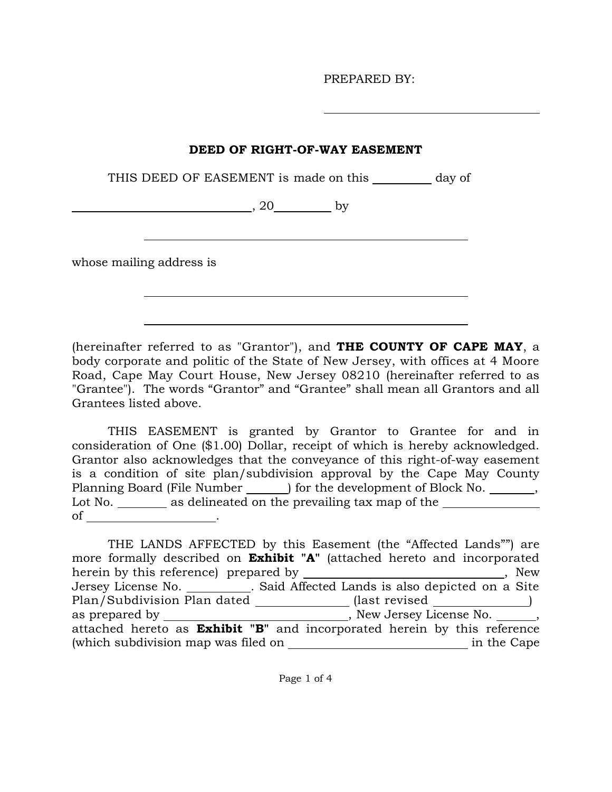PREPARED BY:

## **DEED OF RIGHT-OF-WAY EASEMENT**

THIS DEED OF EASEMENT is made on this \_\_\_\_\_\_\_\_ day of

 $\frac{1}{20}$ , 20 by

whose mailing address is

(hereinafter referred to as "Grantor"), and **THE COUNTY OF CAPE MAY**, a body corporate and politic of the State of New Jersey, with offices at 4 Moore Road, Cape May Court House, New Jersey 08210 (hereinafter referred to as "Grantee"). The words "Grantor" and "Grantee" shall mean all Grantors and all Grantees listed above.

THIS EASEMENT is granted by Grantor to Grantee for and in consideration of One (\$1.00) Dollar, receipt of which is hereby acknowledged. Grantor also acknowledges that the conveyance of this right-of-way easement is a condition of site plan/subdivision approval by the Cape May County Planning Board (File Number  $\rule{1em}{0.15mm}$ ) for the development of Block No.  $\rule{1.15mm}{}$ Lot No.  $\overline{\phantom{a}}$  as delineated on the prevailing tax map of the of .

THE LANDS AFFECTED by this Easement (the "Affected Lands"") are more formally described on **Exhibit "A"** (attached hereto and incorporated herein by this reference) prepared by , New Jersey License No. \_\_\_\_\_\_\_\_\_\_. Said Affected Lands is also depicted on a Site Plan/Subdivision Plan dated \_\_\_\_\_\_\_\_\_\_\_\_\_ (last revised \_\_\_\_\_\_\_\_\_\_\_\_\_\_\_\_\_\_\_\_\_\_\_\_ as prepared by \_\_\_\_\_\_\_\_\_\_\_\_\_\_\_\_\_\_\_\_\_\_\_\_\_\_\_\_, New Jersey License No.  $\_\_\_\_\,,$ attached hereto as **Exhibit "B"** and incorporated herein by this reference (which subdivision map was filed on in the Cape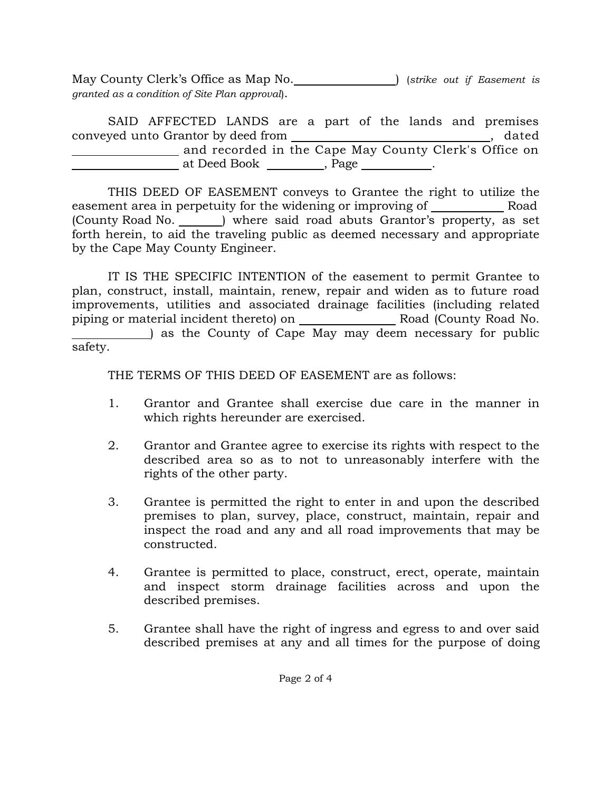May County Clerk's Office as Map No. ) (*strike out if Easement is granted as a condition of Site Plan approval*).

| SAID AFFECTED LANDS are a part of the lands and premises |                                   |  |  |  |                                                       |
|----------------------------------------------------------|-----------------------------------|--|--|--|-------------------------------------------------------|
|                                                          |                                   |  |  |  | dated                                                 |
|                                                          |                                   |  |  |  | and recorded in the Cape May County Clerk's Office on |
|                                                          | at Deed Book , Page ____________. |  |  |  |                                                       |

THIS DEED OF EASEMENT conveys to Grantee the right to utilize the easement area in perpetuity for the widening or improving of \_\_\_\_\_\_\_\_\_\_\_\_\_ Road (County Road No. ) where said road abuts Grantor's property, as set forth herein, to aid the traveling public as deemed necessary and appropriate by the Cape May County Engineer.

IT IS THE SPECIFIC INTENTION of the easement to permit Grantee to plan, construct, install, maintain, renew, repair and widen as to future road improvements, utilities and associated drainage facilities (including related piping or material incident thereto) on Road (County Road No. ) as the County of Cape May may deem necessary for public safety.

THE TERMS OF THIS DEED OF EASEMENT are as follows:

- 1. Grantor and Grantee shall exercise due care in the manner in which rights hereunder are exercised.
- 2. Grantor and Grantee agree to exercise its rights with respect to the described area so as to not to unreasonably interfere with the rights of the other party.
- 3. Grantee is permitted the right to enter in and upon the described premises to plan, survey, place, construct, maintain, repair and inspect the road and any and all road improvements that may be constructed.
- 4. Grantee is permitted to place, construct, erect, operate, maintain and inspect storm drainage facilities across and upon the described premises.
- 5. Grantee shall have the right of ingress and egress to and over said described premises at any and all times for the purpose of doing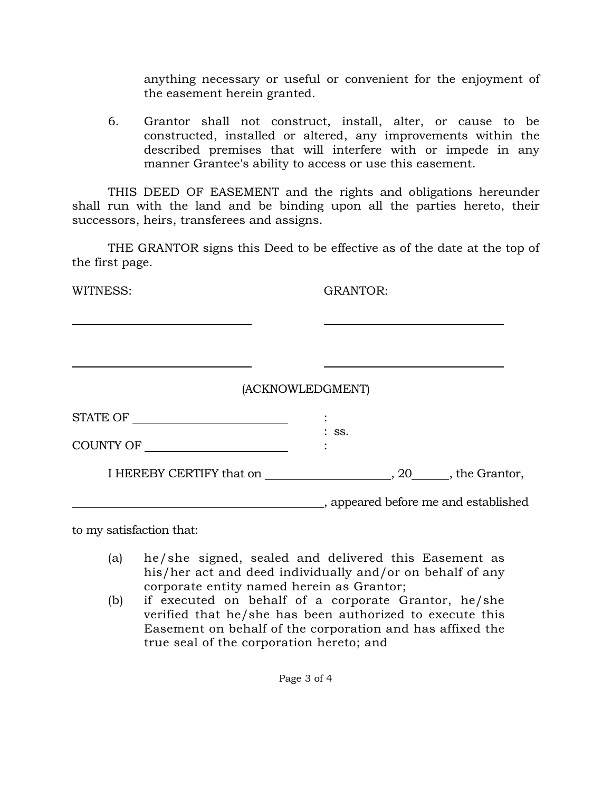anything necessary or useful or convenient for the enjoyment of the easement herein granted.

6. Grantor shall not construct, install, alter, or cause to be constructed, installed or altered, any improvements within the described premises that will interfere with or impede in any manner Grantee's ability to access or use this easement.

THIS DEED OF EASEMENT and the rights and obligations hereunder shall run with the land and be binding upon all the parties hereto, their successors, heirs, transferees and assigns.

THE GRANTOR signs this Deed to be effective as of the date at the top of the first page.

| WITNESS:                 | <b>GRANTOR:</b>  |  |                                       |  |  |  |  |
|--------------------------|------------------|--|---------------------------------------|--|--|--|--|
|                          |                  |  |                                       |  |  |  |  |
|                          | (ACKNOWLEDGMENT) |  |                                       |  |  |  |  |
|                          | $\bullet$        |  |                                       |  |  |  |  |
| COUNTY OF                | $:$ SS.          |  |                                       |  |  |  |  |
| I HEREBY CERTIFY that on |                  |  | $, 20$ , the Grantor,                 |  |  |  |  |
|                          |                  |  | or appeared before me and established |  |  |  |  |

to my satisfaction that:

- (a) he/she signed, sealed and delivered this Easement as his/her act and deed individually and/or on behalf of any corporate entity named herein as Grantor;
- (b) if executed on behalf of a corporate Grantor, he/she verified that he/she has been authorized to execute this Easement on behalf of the corporation and has affixed the true seal of the corporation hereto; and